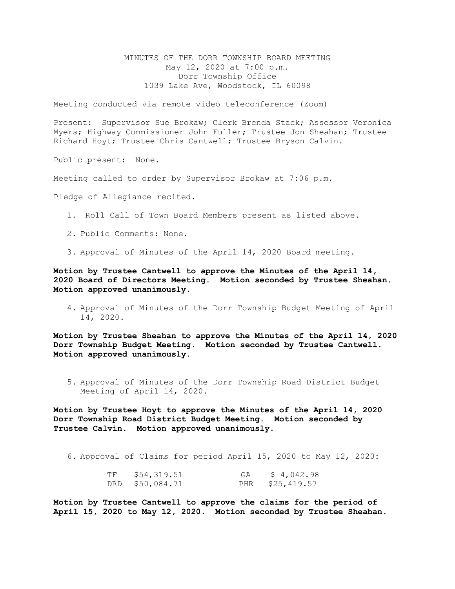MINUTES OF THE DORR TOWNSHIP BOARD MEETING May 12, 2020 at 7:00 p.m. Dorr Township Office 1039 Lake Ave, Woodstock, IL 60098

Meeting conducted via remote video teleconference (Zoom)

Present: Supervisor Sue Brokaw; Clerk Brenda Stack; Assessor Veronica Myers; Highway Commissioner John Fuller; Trustee Jon Sheahan; Trustee Richard Hoyt; Trustee Chris Cantwell; Trustee Bryson Calvin.

Public present: None.

Meeting called to order by Supervisor Brokaw at 7:06 p.m.

Pledge of Allegiance recited.

- 1. Roll Call of Town Board Members present as listed above.
- 2. Public Comments: None.
- 3. Approval of Minutes of the April 14, 2020 Board meeting.

**Motion by Trustee Cantwell to approve the Minutes of the April 14, 2020 Board of Directors Meeting. Motion seconded by Trustee Sheahan. Motion approved unanimously.** 

4. Approval of Minutes of the Dorr Township Budget Meeting of April 14, 2020.

**Motion by Trustee Sheahan to approve the Minutes of the April 14, 2020 Dorr Township Budget Meeting. Motion seconded by Trustee Cantwell. Motion approved unanimously.** 

5. Approval of Minutes of the Dorr Township Road District Budget Meeting of April 14, 2020.

**Motion by Trustee Hoyt to approve the Minutes of the April 14, 2020 Dorr Township Road District Budget Meeting. Motion seconded by Trustee Calvin. Motion approved unanimously.** 

6. Approval of Claims for period April 15, 2020 to May 12, 2020:

| TF | \$54,319.51     | GA | \$4,042.98      |
|----|-----------------|----|-----------------|
|    | DRD \$50,084.71 |    | PHR \$25,419.57 |

**Motion by Trustee Cantwell to approve the claims for the period of April 15, 2020 to May 12, 2020. Motion seconded by Trustee Sheahan.**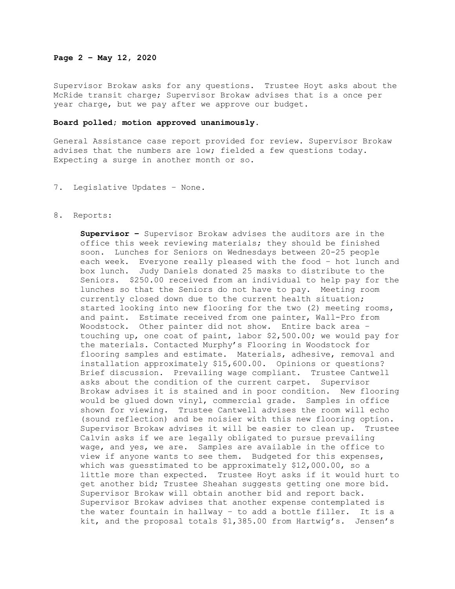## **Page 2 – May 12, 2020**

Supervisor Brokaw asks for any questions. Trustee Hoyt asks about the McRide transit charge; Supervisor Brokaw advises that is a once per year charge, but we pay after we approve our budget.

## **Board polled; motion approved unanimously.**

General Assistance case report provided for review. Supervisor Brokaw advises that the numbers are low; fielded a few questions today. Expecting a surge in another month or so.

7. Legislative Updates – None.

## 8. Reports:

**Supervisor –** Supervisor Brokaw advises the auditors are in the office this week reviewing materials; they should be finished soon. Lunches for Seniors on Wednesdays between 20-25 people each week. Everyone really pleased with the food – hot lunch and box lunch. Judy Daniels donated 25 masks to distribute to the Seniors. \$250.00 received from an individual to help pay for the lunches so that the Seniors do not have to pay. Meeting room currently closed down due to the current health situation; started looking into new flooring for the two (2) meeting rooms, and paint. Estimate received from one painter, Wall-Pro from Woodstock. Other painter did not show. Entire back area – touching up, one coat of paint, labor \$2,500.00; we would pay for the materials. Contacted Murphy's Flooring in Woodstock for flooring samples and estimate. Materials, adhesive, removal and installation approximately \$15,600.00. Opinions or questions? Brief discussion. Prevailing wage compliant. Trustee Cantwell asks about the condition of the current carpet. Supervisor Brokaw advises it is stained and in poor condition. New flooring would be glued down vinyl, commercial grade. Samples in office shown for viewing. Trustee Cantwell advises the room will echo (sound reflection) and be noisier with this new flooring option. Supervisor Brokaw advises it will be easier to clean up. Trustee Calvin asks if we are legally obligated to pursue prevailing wage, and yes, we are. Samples are available in the office to view if anyone wants to see them. Budgeted for this expenses, which was guesstimated to be approximately \$12,000.00, so a little more than expected. Trustee Hoyt asks if it would hurt to get another bid; Trustee Sheahan suggests getting one more bid. Supervisor Brokaw will obtain another bid and report back. Supervisor Brokaw advises that another expense contemplated is the water fountain in hallway – to add a bottle filler. It is a kit, and the proposal totals \$1,385.00 from Hartwig's. Jensen's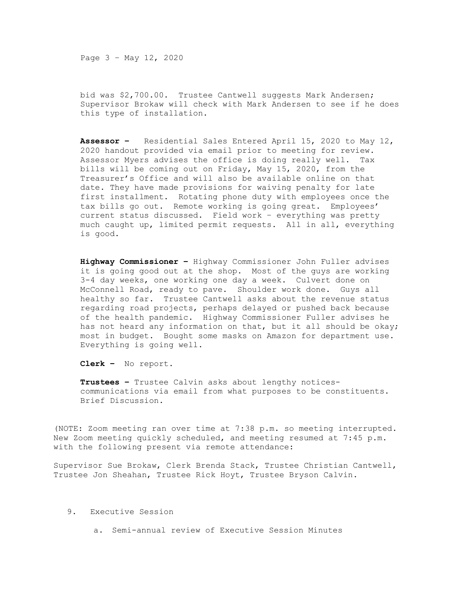Page 3 – May 12, 2020

bid was \$2,700.00. Trustee Cantwell suggests Mark Andersen; Supervisor Brokaw will check with Mark Andersen to see if he does this type of installation.

**Assessor –** Residential Sales Entered April 15, 2020 to May 12, 2020 handout provided via email prior to meeting for review.<br>Assessor Myers advises the office is doing really well. Tax Assessor Myers advises the office is doing really well. bills will be coming out on Friday, May 15, 2020, from the Treasurer's Office and will also be available online on that date. They have made provisions for waiving penalty for late first installment. Rotating phone duty with employees once the tax bills go out. Remote working is going great. Employees' current status discussed. Field work – everything was pretty much caught up, limited permit requests. All in all, everything is good.

**Highway Commissioner –** Highway Commissioner John Fuller advises it is going good out at the shop. Most of the guys are working 3-4 day weeks, one working one day a week. Culvert done on McConnell Road, ready to pave. Shoulder work done. Guys all healthy so far. Trustee Cantwell asks about the revenue status regarding road projects, perhaps delayed or pushed back because of the health pandemic. Highway Commissioner Fuller advises he has not heard any information on that, but it all should be okay; most in budget. Bought some masks on Amazon for department use. Everything is going well.

**Clerk –** No report.

**Trustees –** Trustee Calvin asks about lengthy noticescommunications via email from what purposes to be constituents. Brief Discussion.

(NOTE: Zoom meeting ran over time at 7:38 p.m. so meeting interrupted. New Zoom meeting quickly scheduled, and meeting resumed at 7:45 p.m. with the following present via remote attendance:

Supervisor Sue Brokaw, Clerk Brenda Stack, Trustee Christian Cantwell, Trustee Jon Sheahan, Trustee Rick Hoyt, Trustee Bryson Calvin.

- 9. Executive Session
	- a. Semi-annual review of Executive Session Minutes